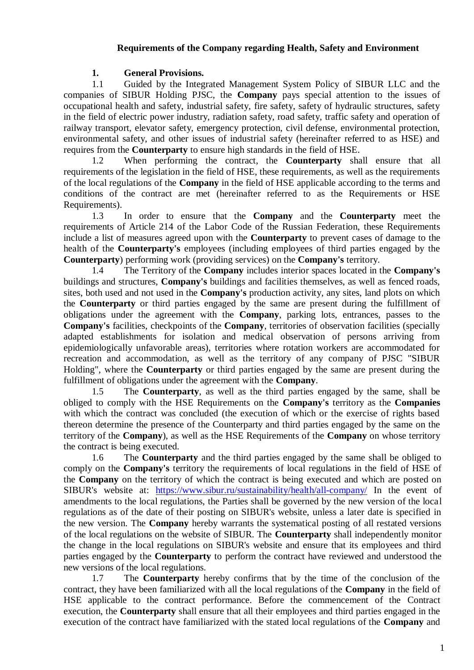# **Requirements of the Company regarding Health, Safety and Environment**

## **1. General Provisions.**

1.1 Guided by the Integrated Management System Policy of SIBUR LLC and the companies of SIBUR Holding PJSC, the **Company** pays special attention to the issues of occupational health and safety, industrial safety, fire safety, safety of hydraulic structures, safety in the field of electric power industry, radiation safety, road safety, traffic safety and operation of railway transport, elevator safety, emergency protection, civil defense, environmental protection, environmental safety, and other issues of industrial safety (hereinafter referred to as HSE) and requires from the **Counterparty** to ensure high standards in the field of HSE.

1.2 When performing the contract, the **Counterparty** shall ensure that all requirements of the legislation in the field of HSE, these requirements, as well as the requirements of the local regulations of the **Company** in the field of HSE applicable according to the terms and conditions of the contract are met (hereinafter referred to as the Requirements or HSE Requirements).

1.3 In order to ensure that the **Company** and the **Counterparty** meet the requirements of Article 214 of the Labor Code of the Russian Federation, these Requirements include a list of measures agreed upon with the **Counterparty** to prevent cases of damage to the health of the **Counterparty's** employees (including employees of third parties engaged by the **Counterparty**) performing work (providing services) on the **Company's** territory.

1.4 The Territory of the **Company** includes interior spaces located in the **Company's** buildings and structures, **Company's** buildings and facilities themselves, as well as fenced roads, sites, both used and not used in the **Company's** production activity, any sites, land plots on which the **Counterparty** or third parties engaged by the same are present during the fulfillment of obligations under the agreement with the **Company**, parking lots, entrances, passes to the **Company's** facilities, checkpoints of the **Company**, territories of observation facilities (specially adapted establishments for isolation and medical observation of persons arriving from epidemiologically unfavorable areas), territories where rotation workers are accommodated for recreation and accommodation, as well as the territory of any company of PJSC "SIBUR Holding", where the **Counterparty** or third parties engaged by the same are present during the fulfillment of obligations under the agreement with the **Company**.

1.5 The **Counterparty**, as well as the third parties engaged by the same, shall be obliged to comply with the HSE Requirements on the **Company's** territory as the **Companies** with which the contract was concluded (the execution of which or the exercise of rights based thereon determine the presence of the Counterparty and third parties engaged by the same on the territory of the **Company**), as well as the HSE Requirements of the **Company** on whose territory the contract is being executed.

1.6 The **Counterparty** and the third parties engaged by the same shall be obliged to comply on the **Company's** territory the requirements of local regulations in the field of HSE of the **Company** on the territory of which the contract is being executed and which are posted on SIBUR's website at: <https://www.sibur.ru/sustainability/health/all-company/> In the event of amendments to the local regulations, the Parties shall be governed by the new version of the local regulations as of the date of their posting on SIBUR's website, unless a later date is specified in the new version. The **Company** hereby warrants the systematical posting of all restated versions of the local regulations on the website of SIBUR. The **Counterparty** shall independently monitor the change in the local regulations on SIBUR's website and ensure that its employees and third parties engaged by the **Counterparty** to perform the contract have reviewed and understood the new versions of the local regulations.

1.7 The **Counterparty** hereby confirms that by the time of the conclusion of the contract, they have been familiarized with all the local regulations of the **Company** in the field of HSE applicable to the contract performance. Before the commencement of the Contract execution, the **Counterparty** shall ensure that all their employees and third parties engaged in the execution of the contract have familiarized with the stated local regulations of the **Company** and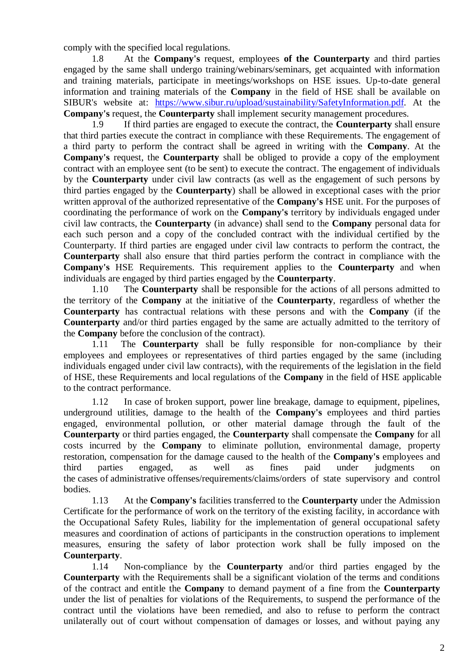comply with the specified local regulations.

1.8 At the **Company's** request, employees **of the Counterparty** and third parties engaged by the same shall undergo training/webinars/seminars, get acquainted with information and training materials, participate in meetings/workshops on HSE issues. Up-to-date general information and training materials of the **Company** in the field of HSE shall be available on SIBUR's website at: [https://www.sibur.ru/upload/sustainability/SafetyInformation.pdf.](https://www.sibur.ru/upload/sustainability/SafetyInformation.pdf) At the **Company's** request, the **Counterparty** shall implement security management procedures.

1.9 If third parties are engaged to execute the contract, the **Counterparty** shall ensure that third parties execute the contract in compliance with these Requirements. The engagement of a third party to perform the contract shall be agreed in writing with the **Company**. At the **Company's** request, the **Counterparty** shall be obliged to provide a copy of the employment contract with an employee sent (to be sent) to execute the contract. The engagement of individuals by the **Counterparty** under civil law contracts (as well as the engagement of such persons by third parties engaged by the **Counterparty**) shall be allowed in exceptional cases with the prior written approval of the authorized representative of the **Company's** HSE unit. For the purposes of coordinating the performance of work on the **Company's** territory by individuals engaged under civil law contracts, the **Counterparty** (in advance) shall send to the **Company** personal data for each such person and a copy of the concluded contract with the individual certified by the Counterparty. If third parties are engaged under civil law contracts to perform the contract, the **Counterparty** shall also ensure that third parties perform the contract in compliance with the **Company's** HSE Requirements. This requirement applies to the **Counterparty** and when individuals are engaged by third parties engaged by the **Counterparty**.

<span id="page-1-0"></span>1.10 The **Counterparty** shall be responsible for the actions of all persons admitted to the territory of the **Company** at the initiative of the **Counterparty**, regardless of whether the **Counterparty** has contractual relations with these persons and with the **Company** (if the **Counterparty** and/or third parties engaged by the same are actually admitted to the territory of the **Company** before the conclusion of the contract).

1.11 The **Counterparty** shall be fully responsible for non-compliance by their employees and employees or representatives of third parties engaged by the same (including individuals engaged under civil law contracts), with the requirements of the legislation in the field of HSE, these Requirements and local regulations of the **Company** in the field of HSE applicable to the contract performance.

1.12 In case of broken support, power line breakage, damage to equipment, pipelines, underground utilities, damage to the health of the **Company's** employees and third parties engaged, environmental pollution, or other material damage through the fault of the **Counterparty** or third parties engaged, the **Counterparty** shall compensate the **Company** for all costs incurred by the **Company** to eliminate pollution, environmental damage, property restoration, compensation for the damage caused to the health of the **Company's** employees and third parties engaged, as well as fines paid under judgments on the cases of administrative offenses/requirements/claims/orders of state supervisory and control bodies.

1.13 At the **Company's** facilities transferred to the **Counterparty** under the Admission Certificate for the performance of work on the territory of the existing facility, in accordance with the Occupational Safety Rules, liability for the implementation of general occupational safety measures and coordination of actions of participants in the construction operations to implement measures, ensuring the safety of labor protection work shall be fully imposed on the **Counterparty**.

1.14 Non-compliance by the **Counterparty** and/or third parties engaged by the **Counterparty** with the Requirements shall be a significant violation of the terms and conditions of the contract and entitle the **Company** to demand payment of a fine from the **Counterparty**  under the list of penalties for violations of the Requirements, to suspend the performance of the contract until the violations have been remedied, and also to refuse to perform the contract unilaterally out of court without compensation of damages or losses, and without paying any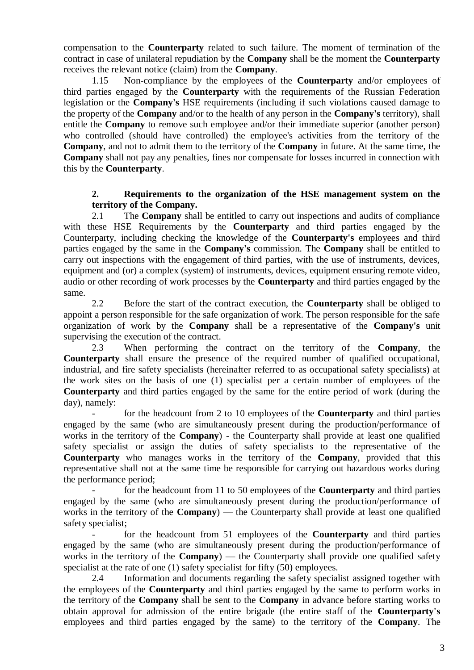compensation to the **Counterparty** related to such failure. The moment of termination of the contract in case of unilateral repudiation by the **Company** shall be the moment the **Counterparty**  receives the relevant notice (claim) from the **Company**.

1.15 Non-compliance by the employees of the **Counterparty** and/or employees of third parties engaged by the **Counterparty** with the requirements of the Russian Federation legislation or the **Company's** HSE requirements (including if such violations caused damage to the property of the **Company** and/or to the health of any person in the **Company's** territory), shall entitle the **Company** to remove such employee and/or their immediate superior (another person) who controlled (should have controlled) the employee's activities from the territory of the **Company**, and not to admit them to the territory of the **Company** in future. At the same time, the **Company** shall not pay any penalties, fines nor compensate for losses incurred in connection with this by the **Counterparty**.

### **2. Requirements to the organization of the HSE management system on the territory of the Company.**

2.1 The **Company** shall be entitled to carry out inspections and audits of compliance with these HSE Requirements by the **Counterparty** and third parties engaged by the Counterparty, including checking the knowledge of the **Counterparty's** employees and third parties engaged by the same in the **Company's** commission. The **Company** shall be entitled to carry out inspections with the engagement of third parties, with the use of instruments, devices, equipment and (or) a complex (system) of instruments, devices, equipment ensuring remote video, audio or other recording of work processes by the **Counterparty** and third parties engaged by the same.

<span id="page-2-0"></span>2.2 Before the start of the contract execution, the **Counterparty** shall be obliged to appoint a person responsible for the safe organization of work. The person responsible for the safe organization of work by the **Company** shall be a representative of the **Company's** unit supervising the execution of the contract.

2.3 When performing the contract on the territory of the **Company**, the **Counterparty** shall ensure the presence of the required number of qualified occupational, industrial, and fire safety specialists (hereinafter referred to as occupational safety specialists) at the work sites on the basis of one (1) specialist per a certain number of employees of the **Counterparty** and third parties engaged by the same for the entire period of work (during the day), namely:

- for the headcount from 2 to 10 employees of the **Counterparty** and third parties engaged by the same (who are simultaneously present during the production/performance of works in the territory of the **Company**) - the Counterparty shall provide at least one qualified safety specialist or assign the duties of safety specialists to the representative of the **Counterparty** who manages works in the territory of the **Company**, provided that this representative shall not at the same time be responsible for carrying out hazardous works during the performance period;

- for the headcount from 11 to 50 employees of the **Counterparty** and third parties engaged by the same (who are simultaneously present during the production/performance of works in the territory of the **Company**) — the Counterparty shall provide at least one qualified safety specialist;

- for the headcount from 51 employees of the **Counterparty** and third parties engaged by the same (who are simultaneously present during the production/performance of works in the territory of the **Company**) — the Counterparty shall provide one qualified safety specialist at the rate of one (1) safety specialist for fifty (50) employees.

2.4 Information and documents regarding the safety specialist assigned together with the employees of the **Counterparty** and third parties engaged by the same to perform works in the territory of the **Company** shall be sent to the **Company** in advance before starting works to obtain approval for admission of the entire brigade (the entire staff of the **Counterparty's**  employees and third parties engaged by the same) to the territory of the **Company**. The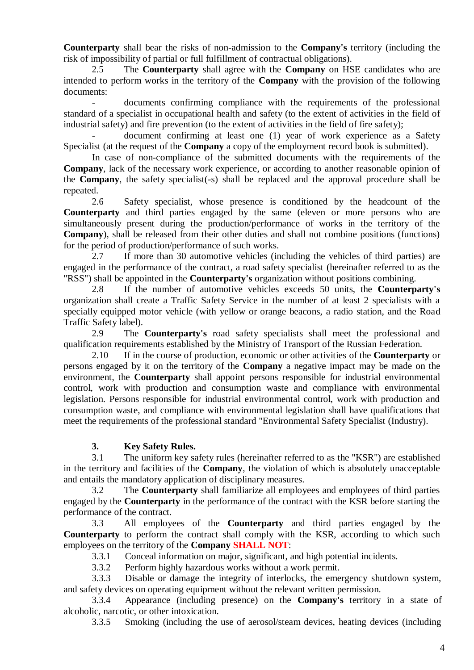**Counterparty** shall bear the risks of non-admission to the **Company's** territory (including the risk of impossibility of partial or full fulfillment of contractual obligations).

2.5 The **Counterparty** shall agree with the **Company** on HSE candidates who are intended to perform works in the territory of the **Company** with the provision of the following documents:

- documents confirming compliance with the requirements of the professional standard of a specialist in occupational health and safety (to the extent of activities in the field of industrial safety) and fire prevention (to the extent of activities in the field of fire safety);

document confirming at least one (1) year of work experience as a Safety Specialist (at the request of the **Company** a copy of the employment record book is submitted).

In case of non-compliance of the submitted documents with the requirements of the **Company**, lack of the necessary work experience, or according to another reasonable opinion of the **Company**, the safety specialist(-s) shall be replaced and the approval procedure shall be repeated.

2.6 Safety specialist, whose presence is conditioned by the headcount of the **Counterparty** and third parties engaged by the same (eleven or more persons who are simultaneously present during the production/performance of works in the territory of the **Company**), shall be released from their other duties and shall not combine positions (functions) for the period of production/performance of such works.

2.7 If more than 30 automotive vehicles (including the vehicles of third parties) are engaged in the performance of the contract, a road safety specialist (hereinafter referred to as the "RSS") shall be appointed in the **Counterparty's** organization without positions combining.

2.8 If the number of automotive vehicles exceeds 50 units, the **Counterparty's**  organization shall create a Traffic Safety Service in the number of at least 2 specialists with a specially equipped motor vehicle (with yellow or orange beacons, a radio station, and the Road Traffic Safety label).

2.9 The **Counterparty's** road safety specialists shall meet the professional and qualification requirements established by the Ministry of Transport of the Russian Federation.

<span id="page-3-3"></span>2.10 If in the course of production, economic or other activities of the **Counterparty** or persons engaged by it on the territory of the **Company** a negative impact may be made on the environment, the **Counterparty** shall appoint persons responsible for industrial environmental control, work with production and consumption waste and compliance with environmental legislation. Persons responsible for industrial environmental control, work with production and consumption waste, and compliance with environmental legislation shall have qualifications that meet the requirements of the professional standard "Environmental Safety Specialist (Industry).

# **3. Key Safety Rules.**

<span id="page-3-2"></span>3.1 The uniform key safety rules (hereinafter referred to as the "KSR") are established in the territory and facilities of the **Company**, the violation of which is absolutely unacceptable and entails the mandatory application of disciplinary measures.

3.2 The **Counterparty** shall familiarize all employees and employees of third parties engaged by the **Counterparty** in the performance of the contract with the KSR before starting the performance of the contract.

3.3 All employees of the **Counterparty** and third parties engaged by the **Counterparty** to perform the contract shall comply with the KSR, according to which such employees on the territory of the **Company SHALL NOT**:

3.3.1 Conceal information on major, significant, and high potential incidents.

3.3.2 Perform highly hazardous works without a work permit.

<span id="page-3-1"></span><span id="page-3-0"></span>3.3.3 Disable or damage the integrity of interlocks, the emergency shutdown system, and safety devices on operating equipment without the relevant written permission.

3.3.4 Appearance (including presence) on the **Company's** territory in a state of alcoholic, narcotic, or other intoxication.

3.3.5 Smoking (including the use of aerosol/steam devices, heating devices (including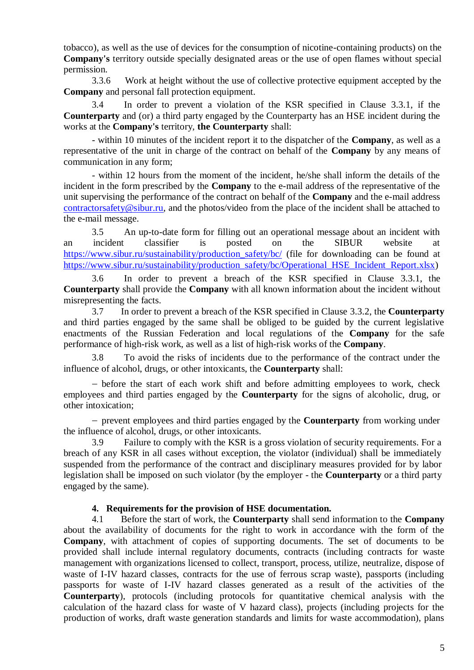tobacco), as well as the use of devices for the consumption of nicotine-containing products) on the **Company's** territory outside specially designated areas or the use of open flames without special permission.

3.3.6 Work at height without the use of collective protective equipment accepted by the **Company** and personal fall protection equipment.

<span id="page-4-1"></span>3.4 In order to prevent a violation of the KSR specified in Clause [3.3.1,](#page-3-0) if the **Counterparty** and (or) a third party engaged by the Counterparty has an HSE incident during the works at the **Company's** territory, **the Counterparty** shall:

- within 10 minutes of the incident report it to the dispatcher of the **Company**, as well as a representative of the unit in charge of the contract on behalf of the **Company** by any means of communication in any form;

- within 12 hours from the moment of the incident, he/she shall inform the details of the incident in the form prescribed by the **Company** to the e-mail address of the representative of the unit supervising the performance of the contract on behalf of the **Company** and the e-mail address [contractorsafety@sibur.ru,](mailto:contractorsafety@sibur.ru) and the photos/video from the place of the incident shall be attached to the e-mail message.

3.5 An up-to-date form for filling out an operational message about an incident with an incident classifier is posted on the SIBUR website at [https://www.sibur.ru/sustainability/production\\_safety/bc/](https://www.sibur.ru/sustainability/production_safety/bc/) (file for downloading can be found at [https://www.sibur.ru/sustainability/production\\_safety/bc/Operational\\_HSE\\_Incident\\_Report.xlsx\)](https://www.sibur.ru/sustainability/production_safety/bc/Operational_HSE_Incident_Report.xlsx)

3.6 In order to prevent a breach of the KSR specified in Clause [3.3.1,](#page-3-0) the **Counterparty** shall provide the **Company** with all known information about the incident without misrepresenting the facts.

3.7 In order to prevent a breach of the KSR specified in Clause [3.3.2,](#page-3-1) the **Counterparty** and third parties engaged by the same shall be obliged to be guided by the current legislative enactments of the Russian Federation and local regulations of the **Company** for the safe performance of high-risk work, as well as a list of high-risk works of the **Company**.

3.8 To avoid the risks of incidents due to the performance of the contract under the influence of alcohol, drugs, or other intoxicants, the **Counterparty** shall:

 before the start of each work shift and before admitting employees to work, check employees and third parties engaged by the **Counterparty** for the signs of alcoholic, drug, or other intoxication;

 prevent employees and third parties engaged by the **Counterparty** from working under the influence of alcohol, drugs, or other intoxicants.

3.9 Failure to comply with the KSR is a gross violation of security requirements. For a breach of any KSR in all cases without exception, the violator (individual) shall be immediately suspended from the performance of the contract and disciplinary measures provided for by labor legislation shall be imposed on such violator (by the employer - the **Counterparty** or a third party engaged by the same).

### **4. Requirements for the provision of HSE documentation.**

<span id="page-4-0"></span>4.1 Before the start of work, the **Counterparty** shall send information to the **Company** about the availability of documents for the right to work in accordance with the form of the **Company**, with attachment of copies of supporting documents. The set of documents to be provided shall include internal regulatory documents, contracts (including contracts for waste management with organizations licensed to collect, transport, process, utilize, neutralize, dispose of waste of I-IV hazard classes, contracts for the use of ferrous scrap waste), passports (including passports for waste of I-IV hazard classes generated as a result of the activities of the **Counterparty**), protocols (including protocols for quantitative chemical analysis with the calculation of the hazard class for waste of V hazard class), projects (including projects for the production of works, draft waste generation standards and limits for waste accommodation), plans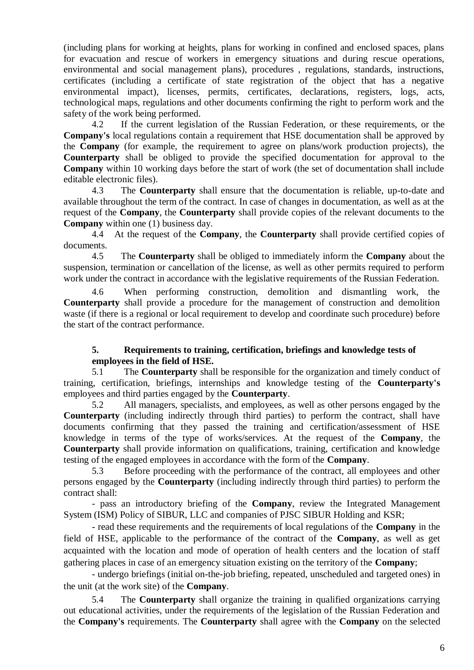(including plans for working at heights, plans for working in confined and enclosed spaces, plans for evacuation and rescue of workers in emergency situations and during rescue operations, environmental and social management plans), procedures , regulations, standards, instructions, certificates (including a certificate of state registration of the object that has a negative environmental impact), licenses, permits, certificates, declarations, registers, logs, acts, technological maps, regulations and other documents confirming the right to perform work and the safety of the work being performed.

4.2 If the current legislation of the Russian Federation, or these requirements, or the **Company's** local regulations contain a requirement that HSE documentation shall be approved by the **Company** (for example, the requirement to agree on plans/work production projects), the **Counterparty** shall be obliged to provide the specified documentation for approval to the **Company** within 10 working days before the start of work (the set of documentation shall include editable electronic files).

4.3 The **Counterparty** shall ensure that the documentation is reliable, up-to-date and available throughout the term of the contract. In case of changes in documentation, as well as at the request of the **Company**, the **Counterparty** shall provide copies of the relevant documents to the **Company** within one (1) business day.

4.4 At the request of the **Company**, the **Counterparty** shall provide certified copies of documents.

4.5 The **Counterparty** shall be obliged to immediately inform the **Company** about the suspension, termination or cancellation of the license, as well as other permits required to perform work under the contract in accordance with the legislative requirements of the Russian Federation.

4.6 When performing construction, demolition and dismantling work, the **Counterparty** shall provide a procedure for the management of construction and demolition waste (if there is a regional or local requirement to develop and coordinate such procedure) before the start of the contract performance.

## <span id="page-5-0"></span>**5. Requirements to training, certification, briefings and knowledge tests of employees in the field of HSE.**

5.1 The **Counterparty** shall be responsible for the organization and timely conduct of training, certification, briefings, internships and knowledge testing of the **Counterparty's** employees and third parties engaged by the **Counterparty**.

5.2 All managers, specialists, and employees, as well as other persons engaged by the **Counterparty** (including indirectly through third parties) to perform the contract, shall have documents confirming that they passed the training and certification/assessment of HSE knowledge in terms of the type of works/services. At the request of the **Company**, the **Counterparty** shall provide information on qualifications, training, certification and knowledge testing of the engaged employees in accordance with the form of the **Company**.

5.3 Before proceeding with the performance of the contract, all employees and other persons engaged by the **Counterparty** (including indirectly through third parties) to perform the contract shall:

- pass an introductory briefing of the **Company**, review the Integrated Management System (ISM) Policy of SIBUR, LLC and companies of PJSC SIBUR Holding and KSR;

- read these requirements and the requirements of local regulations of the **Company** in the field of HSE, applicable to the performance of the contract of the **Company**, as well as get acquainted with the location and mode of operation of health centers and the location of staff gathering places in case of an emergency situation existing on the territory of the **Company**;

- undergo briefings (initial on-the-job briefing, repeated, unscheduled and targeted ones) in the unit (at the work site) of the **Company**.

5.4 The **Counterparty** shall organize the training in qualified organizations carrying out educational activities, under the requirements of the legislation of the Russian Federation and the **Company's** requirements. The **Counterparty** shall agree with the **Company** on the selected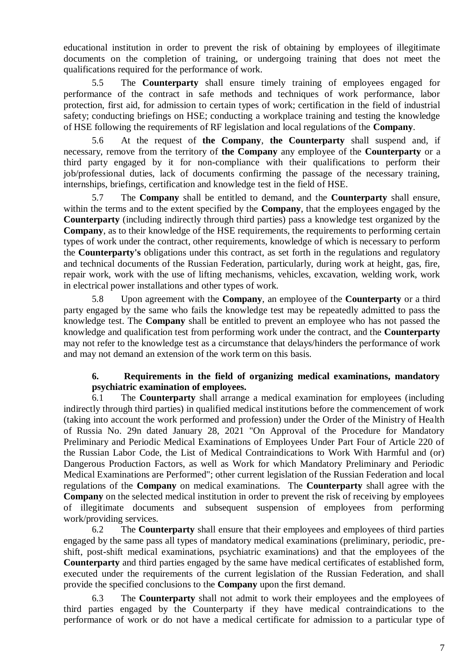educational institution in order to prevent the risk of obtaining by employees of illegitimate documents on the completion of training, or undergoing training that does not meet the qualifications required for the performance of work.

5.5 The **Counterparty** shall ensure timely training of employees engaged for performance of the contract in safe methods and techniques of work performance, labor protection, first aid, for admission to certain types of work; certification in the field of industrial safety; conducting briefings on HSE; conducting a workplace training and testing the knowledge of HSE following the requirements of RF legislation and local regulations of the **Company**.

5.6 At the request of **the Company**, **the Counterparty** shall suspend and, if necessary, remove from the territory of **the Company** any employee of the **Counterparty** or a third party engaged by it for non-compliance with their qualifications to perform their job/professional duties, lack of documents confirming the passage of the necessary training, internships, briefings, certification and knowledge test in the field of HSE.

5.7 The **Company** shall be entitled to demand, and the **Counterparty** shall ensure, within the terms and to the extent specified by the **Company**, that the employees engaged by the **Counterparty** (including indirectly through third parties) pass a knowledge test organized by the **Company**, as to their knowledge of the HSE requirements, the requirements to performing certain types of work under the contract, other requirements, knowledge of which is necessary to perform the **Counterparty's** obligations under this contract, as set forth in the regulations and regulatory and technical documents of the Russian Federation, particularly, during work at height, gas, fire, repair work, work with the use of lifting mechanisms, vehicles, excavation, welding work, work in electrical power installations and other types of work.

5.8 Upon agreement with the **Company**, an employee of the **Counterparty** or a third party engaged by the same who fails the knowledge test may be repeatedly admitted to pass the knowledge test. The **Company** shall be entitled to prevent an employee who has not passed the knowledge and qualification test from performing work under the contract, and the **Counterparty** may not refer to the knowledge test as a circumstance that delays/hinders the performance of work and may not demand an extension of the work term on this basis.

### **6. Requirements in the field of organizing medical examinations, mandatory psychiatric examination of employees.**

<span id="page-6-0"></span>6.1 The **Counterparty** shall arrange a medical examination for employees (including indirectly through third parties) in qualified medical institutions before the commencement of work (taking into account the work performed and profession) under the Order of the Ministry of Health of Russia No. 29n dated January 28, 2021 "On Approval of the Procedure for Mandatory Preliminary and Periodic Medical Examinations of Employees Under Part Four of Article 220 of the Russian Labor Code, the List of Medical Contraindications to Work With Harmful and (or) Dangerous Production Factors, as well as Work for which Mandatory Preliminary and Periodic Medical Examinations are Performed"; other current legislation of the Russian Federation and local regulations of the **Company** on medical examinations. The **Counterparty** shall agree with the **Company** on the selected medical institution in order to prevent the risk of receiving by employees of illegitimate documents and subsequent suspension of employees from performing work/providing services.

6.2 The **Counterparty** shall ensure that their employees and employees of third parties engaged by the same pass all types of mandatory medical examinations (preliminary, periodic, preshift, post-shift medical examinations, psychiatric examinations) and that the employees of the **Counterparty** and third parties engaged by the same have medical certificates of established form, executed under the requirements of the current legislation of the Russian Federation, and shall provide the specified conclusions to the **Company** upon the first demand.

6.3 The **Counterparty** shall not admit to work their employees and the employees of third parties engaged by the Counterparty if they have medical contraindications to the performance of work or do not have a medical certificate for admission to a particular type of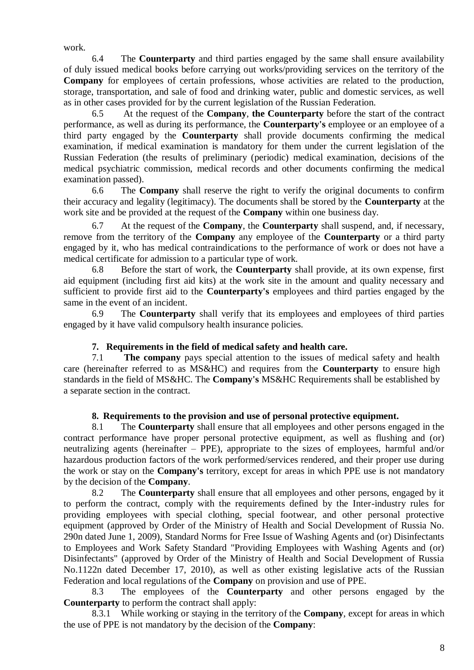work.

6.4 The **Counterparty** and third parties engaged by the same shall ensure availability of duly issued medical books before carrying out works/providing services on the territory of the **Company** for employees of certain professions, whose activities are related to the production, storage, transportation, and sale of food and drinking water, public and domestic services, as well as in other cases provided for by the current legislation of the Russian Federation.

6.5 At the request of the **Company**, **the Counterparty** before the start of the contract performance, as well as during its performance, the **Counterparty's** employee or an employee of a third party engaged by the **Counterparty** shall provide documents confirming the medical examination, if medical examination is mandatory for them under the current legislation of the Russian Federation (the results of preliminary (periodic) medical examination, decisions of the medical psychiatric commission, medical records and other documents confirming the medical examination passed).

6.6 The **Company** shall reserve the right to verify the original documents to confirm their accuracy and legality (legitimacy). The documents shall be stored by the **Counterparty** at the work site and be provided at the request of the **Company** within one business day.

6.7 At the request of the **Company**, the **Counterparty** shall suspend, and, if necessary, remove from the territory of the **Company** any employee of the **Counterparty** or a third party engaged by it, who has medical contraindications to the performance of work or does not have a medical certificate for admission to a particular type of work.

6.8 Before the start of work, the **Counterparty** shall provide, at its own expense, first aid equipment (including first aid kits) at the work site in the amount and quality necessary and sufficient to provide first aid to the **Counterparty's** employees and third parties engaged by the same in the event of an incident.

6.9 The **Counterparty** shall verify that its employees and employees of third parties engaged by it have valid compulsory health insurance policies.

# **7. Requirements in the field of medical safety and health care.**

<span id="page-7-0"></span>7.1 **The company** pays special attention to the issues of medical safety and health care (hereinafter referred to as MS&HC) and requires from the **Counterparty** to ensure high standards in the field of MS&HC. The **Company's** MS&HC Requirements shall be established by a separate section in the contract.

# **8. Requirements to the provision and use of personal protective equipment.**

<span id="page-7-1"></span>8.1 The **Counterparty** shall ensure that all employees and other persons engaged in the contract performance have proper personal protective equipment, as well as flushing and (or) neutralizing agents (hereinafter – PPE), appropriate to the sizes of employees, harmful and/or hazardous production factors of the work performed/services rendered, and their proper use during the work or stay on the **Company's** territory, except for areas in which PPE use is not mandatory by the decision of the **Company**.

8.2 The **Counterparty** shall ensure that all employees and other persons, engaged by it to perform the contract, comply with the requirements defined by the Inter-industry rules for providing employees with special clothing, special footwear, and other personal protective equipment (approved by Order of the Ministry of Health and Social Development of Russia No. 290n dated June 1, 2009), Standard Norms for Free Issue of Washing Agents and (or) Disinfectants to Employees and Work Safety Standard "Providing Employees with Washing Agents and (or) Disinfectants" (approved by Order of the Ministry of Health and Social Development of Russia No.1122n dated December 17, 2010), as well as other existing legislative acts of the Russian Federation and local regulations of the **Company** on provision and use of PPE.

8.3 The employees of the **Counterparty** and other persons engaged by the **Counterparty** to perform the contract shall apply:

8.3.1 While working or staying in the territory of the **Company**, except for areas in which the use of PPE is not mandatory by the decision of the **Company**: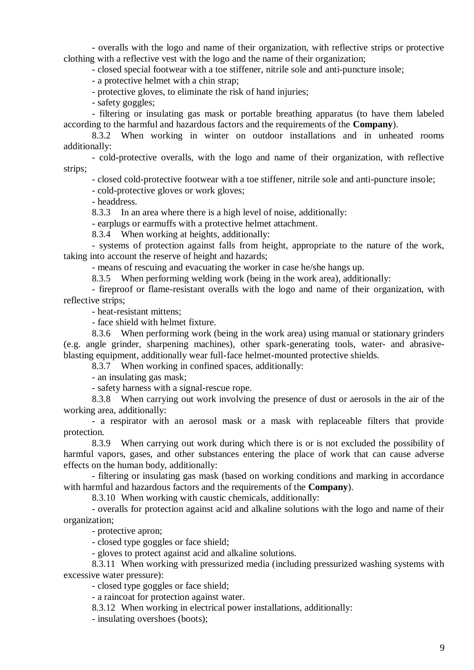- overalls with the logo and name of their organization, with reflective strips or protective clothing with a reflective vest with the logo and the name of their organization;

- closed special footwear with a toe stiffener, nitrile sole and anti-puncture insole;

- a protective helmet with a chin strap;

- protective gloves, to eliminate the risk of hand injuries;

- safety goggles;

- filtering or insulating gas mask or portable breathing apparatus (to have them labeled according to the harmful and hazardous factors and the requirements of the **Company**).

8.3.2 When working in winter on outdoor installations and in unheated rooms additionally:

- cold-protective overalls, with the logo and name of their organization, with reflective strips;

- closed cold-protective footwear with a toe stiffener, nitrile sole and anti-puncture insole;

- cold-protective gloves or work gloves;

- headdress.

8.3.3 In an area where there is a high level of noise, additionally:

- earplugs or earmuffs with a protective helmet attachment.

8.3.4 When working at heights, additionally:

- systems of protection against falls from height, appropriate to the nature of the work, taking into account the reserve of height and hazards;

- means of rescuing and evacuating the worker in case he/she hangs up.

8.3.5 When performing welding work (being in the work area), additionally:

- fireproof or flame-resistant overalls with the logo and name of their organization, with reflective strips;

- heat-resistant mittens;

- face shield with helmet fixture.

8.3.6 When performing work (being in the work area) using manual or stationary grinders (e.g. angle grinder, sharpening machines), other spark-generating tools, water- and abrasiveblasting equipment, additionally wear full-face helmet-mounted protective shields.

8.3.7 When working in confined spaces, additionally:

- an insulating gas mask;

- safety harness with a signal-rescue rope.

8.3.8 When carrying out work involving the presence of dust or aerosols in the air of the working area, additionally:

- a respirator with an aerosol mask or a mask with replaceable filters that provide protection.

8.3.9 When carrying out work during which there is or is not excluded the possibility of harmful vapors, gases, and other substances entering the place of work that can cause adverse effects on the human body, additionally:

- filtering or insulating gas mask (based on working conditions and marking in accordance with harmful and hazardous factors and the requirements of the **Company**).

8.3.10 When working with caustic chemicals, additionally:

- overalls for protection against acid and alkaline solutions with the logo and name of their organization;

- protective apron;

- closed type goggles or face shield;

- gloves to protect against acid and alkaline solutions.

8.3.11 When working with pressurized media (including pressurized washing systems with excessive water pressure):

- closed type goggles or face shield;

- a raincoat for protection against water.

8.3.12 When working in electrical power installations, additionally:

- insulating overshoes (boots);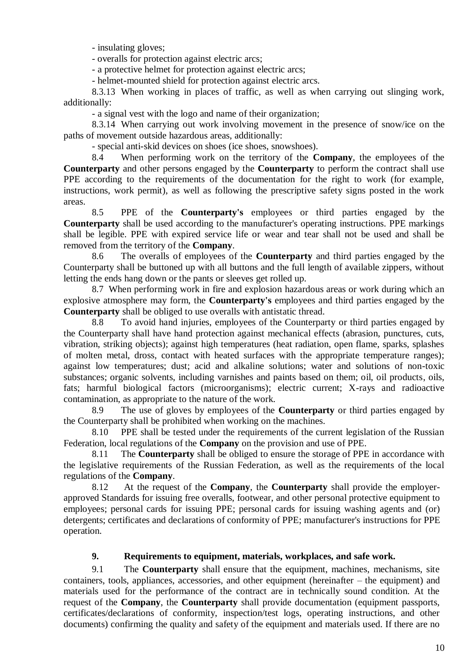- insulating gloves;

- overalls for protection against electric arcs;

- a protective helmet for protection against electric arcs;

- helmet-mounted shield for protection against electric arcs.

8.3.13 When working in places of traffic, as well as when carrying out slinging work, additionally:

- a signal vest with the logo and name of their organization;

8.3.14 When carrying out work involving movement in the presence of snow/ice on the paths of movement outside hazardous areas, additionally:

- special anti-skid devices on shoes (ice shoes, snowshoes).

8.4 When performing work on the territory of the **Company**, the employees of the **Counterparty** and other persons engaged by the **Counterparty** to perform the contract shall use PPE according to the requirements of the documentation for the right to work (for example, instructions, work permit), as well as following the prescriptive safety signs posted in the work areas.

8.5 PPE of the **Counterparty's** employees or third parties engaged by the **Counterparty** shall be used according to the manufacturer's operating instructions. PPE markings shall be legible. PPE with expired service life or wear and tear shall not be used and shall be removed from the territory of the **Company**.

8.6 The overalls of employees of the **Counterparty** and third parties engaged by the Counterparty shall be buttoned up with all buttons and the full length of available zippers, without letting the ends hang down or the pants or sleeves get rolled up.

8.7 When performing work in fire and explosion hazardous areas or work during which an explosive atmosphere may form, the **Counterparty's** employees and third parties engaged by the **Counterparty** shall be obliged to use overalls with antistatic thread.

8.8 To avoid hand injuries, employees of the Counterparty or third parties engaged by the Counterparty shall have hand protection against mechanical effects (abrasion, punctures, cuts, vibration, striking objects); against high temperatures (heat radiation, open flame, sparks, splashes of molten metal, dross, contact with heated surfaces with the appropriate temperature ranges); against low temperatures; dust; acid and alkaline solutions; water and solutions of non-toxic substances; organic solvents, including varnishes and paints based on them; oil, oil products, oils, fats; harmful biological factors (microorganisms); electric current; X-rays and radioactive contamination, as appropriate to the nature of the work.

8.9 The use of gloves by employees of the **Counterparty** or third parties engaged by the Counterparty shall be prohibited when working on the machines.

8.10 PPE shall be tested under the requirements of the current legislation of the Russian Federation, local regulations of the **Company** on the provision and use of PPE.

8.11 The **Counterparty** shall be obliged to ensure the storage of PPE in accordance with the legislative requirements of the Russian Federation, as well as the requirements of the local regulations of the **Company**.

8.12 At the request of the **Company**, the **Counterparty** shall provide the employerapproved Standards for issuing free overalls, footwear, and other personal protective equipment to employees; personal cards for issuing PPE; personal cards for issuing washing agents and (or) detergents; certificates and declarations of conformity of PPE; manufacturer's instructions for PPE operation.

# **9. Requirements to equipment, materials, workplaces, and safe work.**

<span id="page-9-0"></span>9.1 The **Counterparty** shall ensure that the equipment, machines, mechanisms, site containers, tools, appliances, accessories, and other equipment (hereinafter – the equipment) and materials used for the performance of the contract are in technically sound condition. At the request of the **Company**, the **Counterparty** shall provide documentation (equipment passports, certificates/declarations of conformity, inspection/test logs, operating instructions, and other documents) confirming the quality and safety of the equipment and materials used. If there are no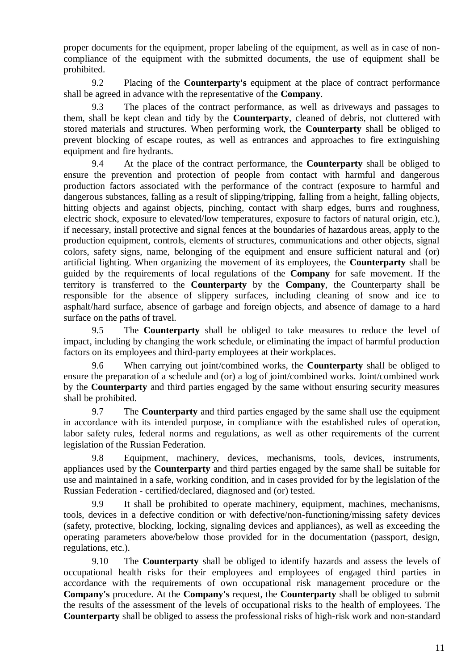proper documents for the equipment, proper labeling of the equipment, as well as in case of noncompliance of the equipment with the submitted documents, the use of equipment shall be prohibited.

9.2 Placing of the **Counterparty's** equipment at the place of contract performance shall be agreed in advance with the representative of the **Company**.

9.3 The places of the contract performance, as well as driveways and passages to them, shall be kept clean and tidy by the **Counterparty**, cleaned of debris, not cluttered with stored materials and structures. When performing work, the **Counterparty** shall be obliged to prevent blocking of escape routes, as well as entrances and approaches to fire extinguishing equipment and fire hydrants.

9.4 At the place of the contract performance, the **Counterparty** shall be obliged to ensure the prevention and protection of people from contact with harmful and dangerous production factors associated with the performance of the contract (exposure to harmful and dangerous substances, falling as a result of slipping/tripping, falling from a height, falling objects, hitting objects and against objects, pinching, contact with sharp edges, burrs and roughness, electric shock, exposure to elevated/low temperatures, exposure to factors of natural origin, etc.), if necessary, install protective and signal fences at the boundaries of hazardous areas, apply to the production equipment, controls, elements of structures, communications and other objects, signal colors, safety signs, name, belonging of the equipment and ensure sufficient natural and (or) artificial lighting. When organizing the movement of its employees, the **Counterparty** shall be guided by the requirements of local regulations of the **Company** for safe movement. If the territory is transferred to the **Counterparty** by the **Company**, the Counterparty shall be responsible for the absence of slippery surfaces, including cleaning of snow and ice to asphalt/hard surface, absence of garbage and foreign objects, and absence of damage to a hard surface on the paths of travel.

9.5 The **Counterparty** shall be obliged to take measures to reduce the level of impact, including by changing the work schedule, or eliminating the impact of harmful production factors on its employees and third-party employees at their workplaces.

9.6 When carrying out joint/combined works, the **Counterparty** shall be obliged to ensure the preparation of a schedule and (or) a log of joint/combined works. Joint/combined work by the **Counterparty** and third parties engaged by the same without ensuring security measures shall be prohibited.

9.7 The **Counterparty** and third parties engaged by the same shall use the equipment in accordance with its intended purpose, in compliance with the established rules of operation, labor safety rules, federal norms and regulations, as well as other requirements of the current legislation of the Russian Federation.

9.8 Equipment, machinery, devices, mechanisms, tools, devices, instruments, appliances used by the **Counterparty** and third parties engaged by the same shall be suitable for use and maintained in a safe, working condition, and in cases provided for by the legislation of the Russian Federation - certified/declared, diagnosed and (or) tested.

9.9 It shall be prohibited to operate machinery, equipment, machines, mechanisms, tools, devices in a defective condition or with defective/non-functioning/missing safety devices (safety, protective, blocking, locking, signaling devices and appliances), as well as exceeding the operating parameters above/below those provided for in the documentation (passport, design, regulations, etc.).

9.10 The **Counterparty** shall be obliged to identify hazards and assess the levels of occupational health risks for their employees and employees of engaged third parties in accordance with the requirements of own occupational risk management procedure or the **Company's** procedure. At the **Company's** request, the **Counterparty** shall be obliged to submit the results of the assessment of the levels of occupational risks to the health of employees. The **Counterparty** shall be obliged to assess the professional risks of high-risk work and non-standard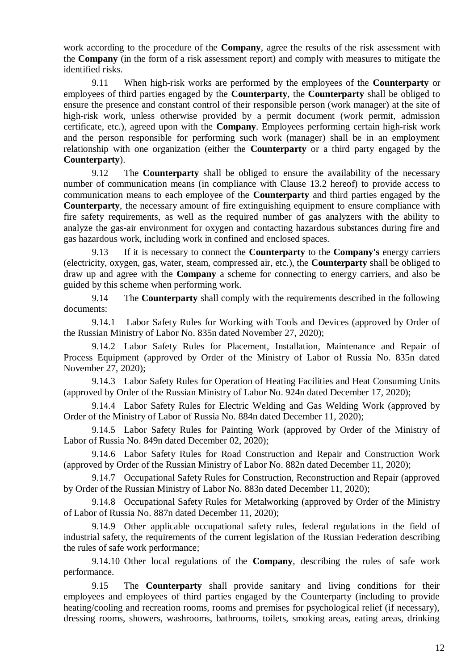work according to the procedure of the **Company**, agree the results of the risk assessment with the **Company** (in the form of a risk assessment report) and comply with measures to mitigate the identified risks.

9.11 When high-risk works are performed by the employees of the **Counterparty** or employees of third parties engaged by the **Counterparty**, the **Counterparty** shall be obliged to ensure the presence and constant control of their responsible person (work manager) at the site of high-risk work, unless otherwise provided by a permit document (work permit, admission certificate, etc.), agreed upon with the **Company**. Employees performing certain high-risk work and the person responsible for performing such work (manager) shall be in an employment relationship with one organization (either the **Counterparty** or a third party engaged by the **Counterparty**).

9.12 The **Counterparty** shall be obliged to ensure the availability of the necessary number of communication means (in compliance with Clause [13.2](#page-13-0) hereof) to provide access to communication means to each employee of the **Counterparty** and third parties engaged by the **Counterparty**, the necessary amount of fire extinguishing equipment to ensure compliance with fire safety requirements, as well as the required number of gas analyzers with the ability to analyze the gas-air environment for oxygen and contacting hazardous substances during fire and gas hazardous work, including work in confined and enclosed spaces.

9.13 If it is necessary to connect the **Counterparty** to the **Company's** energy carriers (electricity, oxygen, gas, water, steam, compressed air, etc.), the **Counterparty** shall be obliged to draw up and agree with the **Company** a scheme for connecting to energy carriers, and also be guided by this scheme when performing work.

9.14 The **Counterparty** shall comply with the requirements described in the following documents:

9.14.1 Labor Safety Rules for Working with Tools and Devices (approved by Order of the Russian Ministry of Labor No. 835n dated November 27, 2020);

9.14.2 Labor Safety Rules for Placement, Installation, Maintenance and Repair of Process Equipment (approved by Order of the Ministry of Labor of Russia No. 835n dated November 27, 2020);

9.14.3 Labor Safety Rules for Operation of Heating Facilities and Heat Consuming Units (approved by Order of the Russian Ministry of Labor No. 924n dated December 17, 2020);

9.14.4 Labor Safety Rules for Electric Welding and Gas Welding Work (approved by Order of the Ministry of Labor of Russia No. 884n dated December 11, 2020);

9.14.5 Labor Safety Rules for Painting Work (approved by Order of the Ministry of Labor of Russia No. 849n dated December 02, 2020);

9.14.6 Labor Safety Rules for Road Construction and Repair and Construction Work (approved by Order of the Russian Ministry of Labor No. 882n dated December 11, 2020);

9.14.7 Occupational Safety Rules for Construction, Reconstruction and Repair (approved by Order of the Russian Ministry of Labor No. 883n dated December 11, 2020);

9.14.8 Occupational Safety Rules for Metalworking (approved by Order of the Ministry of Labor of Russia No. 887n dated December 11, 2020);

9.14.9 Other applicable occupational safety rules, federal regulations in the field of industrial safety, the requirements of the current legislation of the Russian Federation describing the rules of safe work performance;

9.14.10 Other local regulations of the **Company**, describing the rules of safe work performance.

9.15 The **Counterparty** shall provide sanitary and living conditions for their employees and employees of third parties engaged by the Counterparty (including to provide heating/cooling and recreation rooms, rooms and premises for psychological relief (if necessary), dressing rooms, showers, washrooms, bathrooms, toilets, smoking areas, eating areas, drinking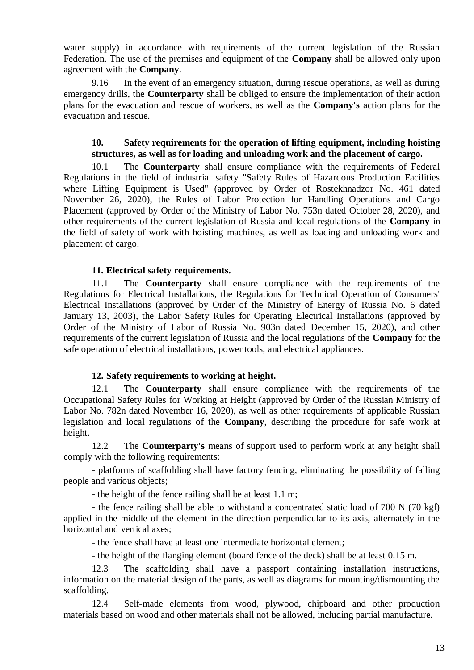water supply) in accordance with requirements of the current legislation of the Russian Federation. The use of the premises and equipment of the **Company** shall be allowed only upon agreement with the **Company**.

9.16 In the event of an emergency situation, during rescue operations, as well as during emergency drills, the **Counterparty** shall be obliged to ensure the implementation of their action plans for the evacuation and rescue of workers, as well as the **Company's** action plans for the evacuation and rescue.

### **10. Safety requirements for the operation of lifting equipment, including hoisting structures, as well as for loading and unloading work and the placement of cargo.**

<span id="page-12-0"></span>10.1 The **Counterparty** shall ensure compliance with the requirements of Federal Regulations in the field of industrial safety "Safety Rules of Hazardous Production Facilities where Lifting Equipment is Used" (approved by Order of Rostekhnadzor No. 461 dated November 26, 2020), the Rules of Labor Protection for Handling Operations and Cargo Placement (approved by Order of the Ministry of Labor No. 753n dated October 28, 2020), and other requirements of the current legislation of Russia and local regulations of the **Company** in the field of safety of work with hoisting machines, as well as loading and unloading work and placement of cargo.

### **11. Electrical safety requirements.**

<span id="page-12-1"></span>11.1 The **Counterparty** shall ensure compliance with the requirements of the Regulations for Electrical Installations, the Regulations for Technical Operation of Consumers' Electrical Installations (approved by Order of the Ministry of Energy of Russia No. 6 dated January 13, 2003), the Labor Safety Rules for Operating Electrical Installations (approved by Order of the Ministry of Labor of Russia No. 903n dated December 15, 2020), and other requirements of the current legislation of Russia and the local regulations of the **Company** for the safe operation of electrical installations, power tools, and electrical appliances.

#### **12. Safety requirements to working at height.**

<span id="page-12-2"></span>12.1 The **Counterparty** shall ensure compliance with the requirements of the Occupational Safety Rules for Working at Height (approved by Order of the Russian Ministry of Labor No. 782n dated November 16, 2020), as well as other requirements of applicable Russian legislation and local regulations of the **Company**, describing the procedure for safe work at height.

12.2 The **Counterparty's** means of support used to perform work at any height shall comply with the following requirements:

- platforms of scaffolding shall have factory fencing, eliminating the possibility of falling people and various objects;

- the height of the fence railing shall be at least 1.1 m;

- the fence railing shall be able to withstand a concentrated static load of 700 N (70 kgf) applied in the middle of the element in the direction perpendicular to its axis, alternately in the horizontal and vertical axes;

- the fence shall have at least one intermediate horizontal element;

- the height of the flanging element (board fence of the deck) shall be at least 0.15 m.

12.3 The scaffolding shall have a passport containing installation instructions, information on the material design of the parts, as well as diagrams for mounting/dismounting the scaffolding.

12.4 Self-made elements from wood, plywood, chipboard and other production materials based on wood and other materials shall not be allowed, including partial manufacture.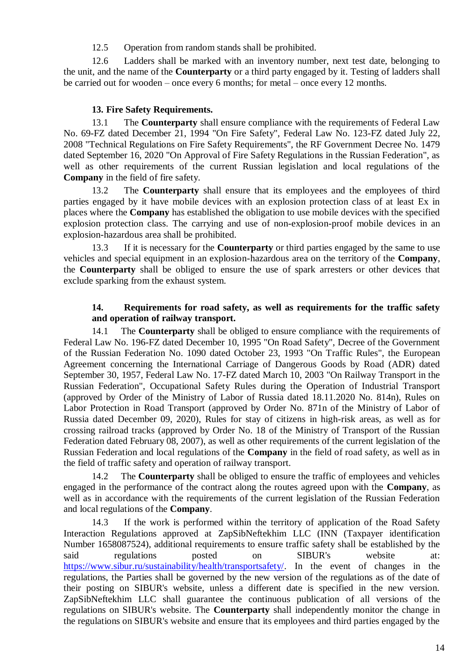12.5 Operation from random stands shall be prohibited.

12.6 Ladders shall be marked with an inventory number, next test date, belonging to the unit, and the name of the **Counterparty** or a third party engaged by it. Testing of ladders shall be carried out for wooden – once every 6 months; for metal – once every 12 months.

# **13. Fire Safety Requirements.**

<span id="page-13-1"></span>13.1 The **Counterparty** shall ensure compliance with the requirements of Federal Law No. 69-FZ dated December 21, 1994 "On Fire Safety", Federal Law No. 123-FZ dated July 22, 2008 "Technical Regulations on Fire Safety Requirements", the RF Government Decree No. 1479 dated September 16, 2020 "On Approval of Fire Safety Regulations in the Russian Federation", as well as other requirements of the current Russian legislation and local regulations of the **Company** in the field of fire safety.

<span id="page-13-0"></span>13.2 The **Counterparty** shall ensure that its employees and the employees of third parties engaged by it have mobile devices with an explosion protection class of at least Ex in places where the **Company** has established the obligation to use mobile devices with the specified explosion protection class. The carrying and use of non-explosion-proof mobile devices in an explosion-hazardous area shall be prohibited.

13.3 If it is necessary for the **Counterparty** or third parties engaged by the same to use vehicles and special equipment in an explosion-hazardous area on the territory of the **Company**, the **Counterparty** shall be obliged to ensure the use of spark arresters or other devices that exclude sparking from the exhaust system.

## **14. Requirements for road safety, as well as requirements for the traffic safety and operation of railway transport.**

<span id="page-13-2"></span>14.1 The **Counterparty** shall be obliged to ensure compliance with the requirements of Federal Law No. 196-FZ dated December 10, 1995 "On Road Safety", Decree of the Government of the Russian Federation No. 1090 dated October 23, 1993 "On Traffic Rules", the European Agreement concerning the International Carriage of Dangerous Goods by Road (ADR) dated September 30, 1957, Federal Law No. 17-FZ dated March 10, 2003 "On Railway Transport in the Russian Federation", Occupational Safety Rules during the Operation of Industrial Transport (approved by Order of the Ministry of Labor of Russia dated 18.11.2020 No. 814n), Rules on Labor Protection in Road Transport (approved by Order No. 871n of the Ministry of Labor of Russia dated December 09, 2020), Rules for stay of citizens in high-risk areas, as well as for crossing railroad tracks (approved by Order No. 18 of the Ministry of Transport of the Russian Federation dated February 08, 2007), as well as other requirements of the current legislation of the Russian Federation and local regulations of the **Company** in the field of road safety, as well as in the field of traffic safety and operation of railway transport.

14.2 The **Counterparty** shall be obliged to ensure the traffic of employees and vehicles engaged in the performance of the contract along the routes agreed upon with the **Company**, as well as in accordance with the requirements of the current legislation of the Russian Federation and local regulations of the **Company**.

14.3 If the work is performed within the territory of application of the Road Safety Interaction Regulations approved at ZapSibNeftekhim LLC (INN (Taxpayer identification Number 1658087524), additional requirements to ensure traffic safety shall be established by the said regulations posted on SIBUR's website at[:](https://www.sibur.ru/sustainability/health/transportsafety/) [https://www.sibur.ru/sustainability/health/transportsafety/.](https://www.sibur.ru/sustainability/health/transportsafety/) In the event of changes in the regulations, the Parties shall be governed by the new version of the regulations as of the date of their posting on SIBUR's website, unless a different date is specified in the new version. ZapSibNeftekhim LLC shall guarantee the continuous publication of all versions of the regulations on SIBUR's website. The **Counterparty** shall independently monitor the change in the regulations on SIBUR's website and ensure that its employees and third parties engaged by the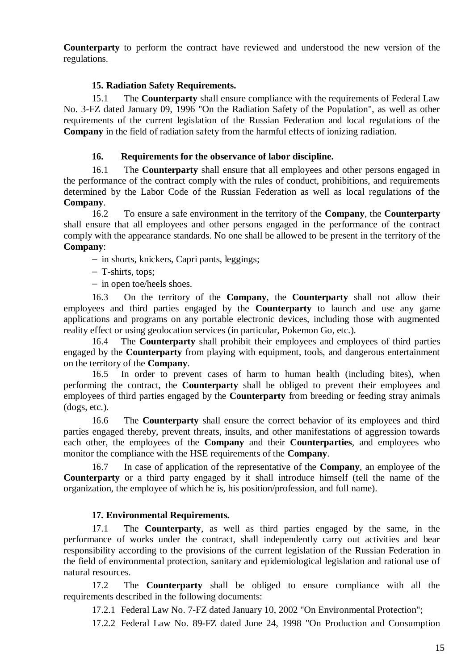**Counterparty** to perform the contract have reviewed and understood the new version of the regulations.

### **15. Radiation Safety Requirements.**

<span id="page-14-0"></span>15.1 The **Counterparty** shall ensure compliance with the requirements of Federal Law No. 3-FZ dated January 09, 1996 "On the Radiation Safety of the Population", as well as other requirements of the current legislation of the Russian Federation and local regulations of the **Company** in the field of radiation safety from the harmful effects of ionizing radiation.

#### **16. Requirements for the observance of labor discipline.**

<span id="page-14-1"></span>16.1 The **Counterparty** shall ensure that all employees and other persons engaged in the performance of the contract comply with the rules of conduct, prohibitions, and requirements determined by the Labor Code of the Russian Federation as well as local regulations of the **Company**.

16.2 To ensure a safe environment in the territory of the **Company**, the **Counterparty**  shall ensure that all employees and other persons engaged in the performance of the contract comply with the appearance standards. No one shall be allowed to be present in the territory of the **Company**:

- in shorts, knickers, Capri pants, leggings;

T-shirts, tops;

 $-$  in open toe/heels shoes.

16.3 On the territory of the **Company**, the **Counterparty** shall not allow their employees and third parties engaged by the **Counterparty** to launch and use any game applications and programs on any portable electronic devices, including those with augmented reality effect or using geolocation services (in particular, Pokemon Go, etc.).

16.4 The **Counterparty** shall prohibit their employees and employees of third parties engaged by the **Counterparty** from playing with equipment, tools, and dangerous entertainment on the territory of the **Company**.

16.5 In order to prevent cases of harm to human health (including bites), when performing the contract, the **Counterparty** shall be obliged to prevent their employees and employees of third parties engaged by the **Counterparty** from breeding or feeding stray animals (dogs, etc.).

16.6 The **Counterparty** shall ensure the correct behavior of its employees and third parties engaged thereby, prevent threats, insults, and other manifestations of aggression towards each other, the employees of the **Company** and their **Counterparties**, and employees who monitor the compliance with the HSE requirements of the **Company**.

16.7 In case of application of the representative of the **Company**, an employee of the **Counterparty** or a third party engaged by it shall introduce himself (tell the name of the organization, the employee of which he is, his position/profession, and full name).

#### **17. Environmental Requirements.**

<span id="page-14-3"></span><span id="page-14-2"></span>17.1 The **Counterparty**, as well as third parties engaged by the same, in the performance of works under the contract, shall independently carry out activities and bear responsibility according to the provisions of the current legislation of the Russian Federation in the field of environmental protection, sanitary and epidemiological legislation and rational use of natural resources.

17.2 The **Counterparty** shall be obliged to ensure compliance with all the requirements described in the following documents:

17.2.1 Federal Law No. 7-FZ dated January 10, 2002 "On Environmental Protection";

17.2.2 Federal Law No. 89-FZ dated June 24, 1998 "On Production and Consumption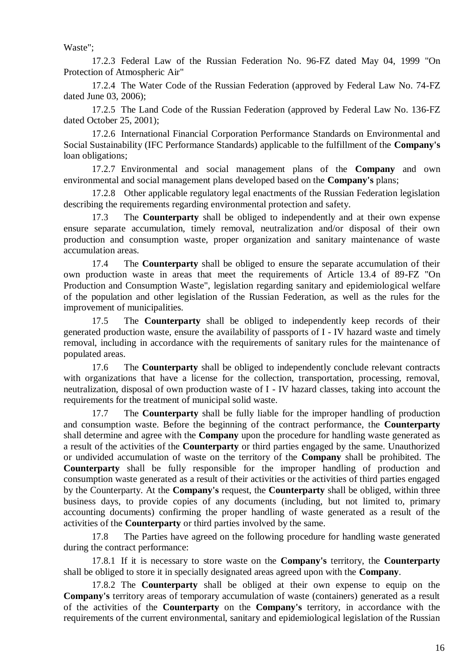Waste";

17.2.3 Federal Law of the Russian Federation No. 96-FZ dated May 04, 1999 "On Protection of Atmospheric Air"

17.2.4 The Water Code of the Russian Federation (approved by Federal Law No. 74-FZ dated June 03, 2006);

17.2.5 The Land Code of the Russian Federation (approved by Federal Law No. 136-FZ dated October 25, 2001);

17.2.6 International Financial Corporation Performance Standards on Environmental and Social Sustainability (IFC Performance Standards) applicable to the fulfillment of the **Company's** loan obligations;

17.2.7 Environmental and social management plans of the **Company** and own environmental and social management plans developed based on the **Company's** plans;

17.2.8 Other applicable regulatory legal enactments of the Russian Federation legislation describing the requirements regarding environmental protection and safety.

17.3 The **Counterparty** shall be obliged to independently and at their own expense ensure separate accumulation, timely removal, neutralization and/or disposal of their own production and consumption waste, proper organization and sanitary maintenance of waste accumulation areas.

17.4 The **Counterparty** shall be obliged to ensure the separate accumulation of their own production waste in areas that meet the requirements of Article 13.4 of 89-FZ "On Production and Consumption Waste", legislation regarding sanitary and epidemiological welfare of the population and other legislation of the Russian Federation, as well as the rules for the improvement of municipalities.

17.5 The **Counterparty** shall be obliged to independently keep records of their generated production waste, ensure the availability of passports of I - IV hazard waste and timely removal, including in accordance with the requirements of sanitary rules for the maintenance of populated areas.

17.6 The **Counterparty** shall be obliged to independently conclude relevant contracts with organizations that have a license for the collection, transportation, processing, removal, neutralization, disposal of own production waste of I - IV hazard classes, taking into account the requirements for the treatment of municipal solid waste.

17.7 The **Counterparty** shall be fully liable for the improper handling of production and consumption waste. Before the beginning of the contract performance, the **Counterparty** shall determine and agree with the **Company** upon the procedure for handling waste generated as a result of the activities of the **Counterparty** or third parties engaged by the same. Unauthorized or undivided accumulation of waste on the territory of the **Company** shall be prohibited. The **Counterparty** shall be fully responsible for the improper handling of production and consumption waste generated as a result of their activities or the activities of third parties engaged by the Counterparty. At the **Company's** request, the **Counterparty** shall be obliged, within three business days, to provide copies of any documents (including, but not limited to, primary accounting documents) confirming the proper handling of waste generated as a result of the activities of the **Counterparty** or third parties involved by the same.

<span id="page-15-0"></span>17.8 The Parties have agreed on the following procedure for handling waste generated during the contract performance:

17.8.1 If it is necessary to store waste on the **Company's** territory, the **Counterparty** shall be obliged to store it in specially designated areas agreed upon with the **Company**.

17.8.2 The **Counterparty** shall be obliged at their own expense to equip on the **Company's** territory areas of temporary accumulation of waste (containers) generated as a result of the activities of the **Counterparty** on the **Company's** territory, in accordance with the requirements of the current environmental, sanitary and epidemiological legislation of the Russian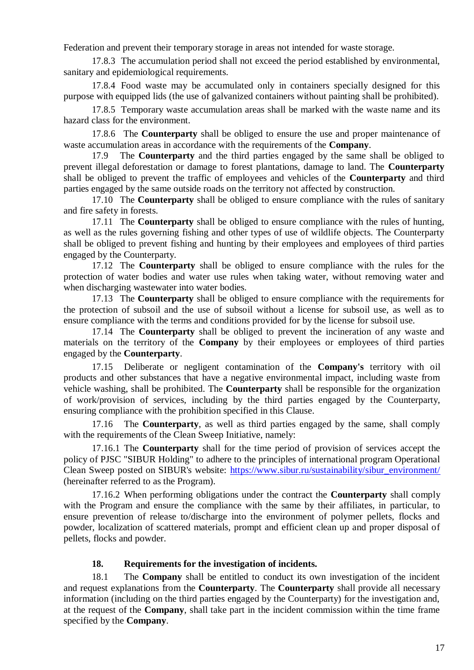Federation and prevent their temporary storage in areas not intended for waste storage.

17.8.3 The accumulation period shall not exceed the period established by environmental, sanitary and epidemiological requirements.

17.8.4 Food waste may be accumulated only in containers specially designed for this purpose with equipped lids (the use of galvanized containers without painting shall be prohibited).

17.8.5 Temporary waste accumulation areas shall be marked with the waste name and its hazard class for the environment.

17.8.6 The **Counterparty** shall be obliged to ensure the use and proper maintenance of waste accumulation areas in accordance with the requirements of the **Company**.

<span id="page-16-1"></span>17.9 The **Counterparty** and the third parties engaged by the same shall be obliged to prevent illegal deforestation or damage to forest plantations, damage to land. The **Counterparty** shall be obliged to prevent the traffic of employees and vehicles of the **Counterparty** and third parties engaged by the same outside roads on the territory not affected by construction.

<span id="page-16-2"></span>17.10 The **Counterparty** shall be obliged to ensure compliance with the rules of sanitary and fire safety in forests.

<span id="page-16-3"></span>17.11 The **Counterparty** shall be obliged to ensure compliance with the rules of hunting, as well as the rules governing fishing and other types of use of wildlife objects. The Counterparty shall be obliged to prevent fishing and hunting by their employees and employees of third parties engaged by the Counterparty.

<span id="page-16-4"></span>17.12 The **Counterparty** shall be obliged to ensure compliance with the rules for the protection of water bodies and water use rules when taking water, without removing water and when discharging wastewater into water bodies.

<span id="page-16-5"></span>17.13 The **Counterparty** shall be obliged to ensure compliance with the requirements for the protection of subsoil and the use of subsoil without a license for subsoil use, as well as to ensure compliance with the terms and conditions provided for by the license for subsoil use.

<span id="page-16-6"></span>17.14 The **Counterparty** shall be obliged to prevent the incineration of any waste and materials on the territory of the **Company** by their employees or employees of third parties engaged by the **Counterparty**.

<span id="page-16-7"></span>17.15 Deliberate or negligent contamination of the **Company's** territory with oil products and other substances that have a negative environmental impact, including waste from vehicle washing, shall be prohibited. The **Counterparty** shall be responsible for the organization of work/provision of services, including by the third parties engaged by the Counterparty, ensuring compliance with the prohibition specified in this Clause.

<span id="page-16-0"></span>17.16 The **Counterparty**, as well as third parties engaged by the same, shall comply with the requirements of the Clean Sweep Initiative, namely:

17.16.1 The **Counterparty** shall for the time period of provision of services accept the policy of PJSC "SIBUR Holding" to adhere to the principles of international program Operational Clean Sweep posted on SIBUR's website: [https://www.sibur.ru/sustainability/sibur\\_environment/](https://www.sibur.ru/sustainability/sibur_environment/) (hereinafter referred to as the Program).

17.16.2 When performing obligations under the contract the **Counterparty** shall comply with the Program and ensure the compliance with the same by their affiliates, in particular, to ensure prevention of release to/discharge into the environment of polymer pellets, flocks and powder, localization of scattered materials, prompt and efficient clean up and proper disposal of pellets, flocks and powder.

# <span id="page-16-8"></span>**18. Requirements for the investigation of incidents.**

18.1 The **Company** shall be entitled to conduct its own investigation of the incident and request explanations from the **Counterparty**. The **Counterparty** shall provide all necessary information (including on the third parties engaged by the Counterparty) for the investigation and, at the request of the **Company**, shall take part in the incident commission within the time frame specified by the **Company**.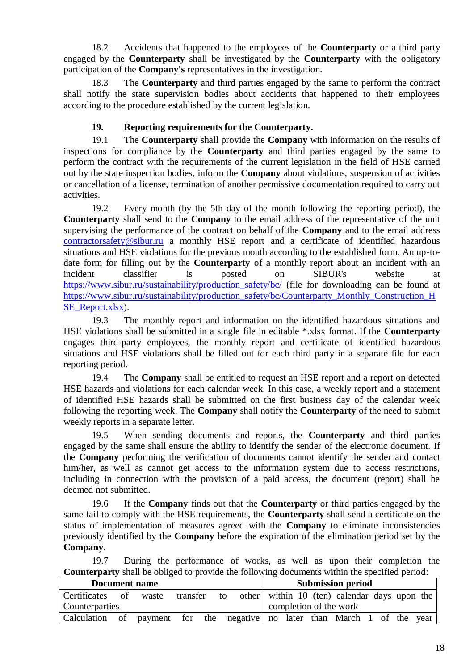18.2 Accidents that happened to the employees of the **Counterparty** or a third party engaged by the **Counterparty** shall be investigated by the **Counterparty** with the obligatory participation of the **Company's** representatives in the investigation.

18.3 The **Counterparty** and third parties engaged by the same to perform the contract shall notify the state supervision bodies about accidents that happened to their employees according to the procedure established by the current legislation.

# **19. Reporting requirements for the Counterparty.**

<span id="page-17-0"></span>19.1 The **Counterparty** shall provide the **Company** with information on the results of inspections for compliance by the **Counterparty** and third parties engaged by the same to perform the contract with the requirements of the current legislation in the field of HSE carried out by the state inspection bodies, inform the **Company** about violations, suspension of activities or cancellation of a license, termination of another permissive documentation required to carry out activities.

19.2 Every month (by the 5th day of the month following the reporting period), the **Counterparty** shall send to the **Company** to the email address of the representative of the unit supervising the performance of the contract on behalf of the **Company** and to the email address [contractorsafety@sibur.ru](mailto:contractorsafety@sibur.ru) a monthly HSE report and a certificate of identified hazardous situations and HSE violations for the previous month according to the established form. An up-todate form for filling out by the **Counterparty** of a monthly report about an incident with an incident classifier is posted on SIBUR's website a[t](https://www.sibur.ru/sustainability/production_safety/bc/) https://www.sibur.ru/sustainability/production safety/bc/ (file for downloading can be found at [https://www.sibur.ru/sustainability/production\\_safety/bc/Counterparty\\_Monthly\\_Construction\\_H](https://www.sibur.ru/sustainability/production_safety/bc/Counterparty_Monthly_Construction_HSE_Report.xlsx) [SE\\_Report.xlsx\)](https://www.sibur.ru/sustainability/production_safety/bc/Counterparty_Monthly_Construction_HSE_Report.xlsx).

19.3 The monthly report and information on the identified hazardous situations and HSE violations shall be submitted in a single file in editable \*.xlsx format. If the **Counterparty**  engages third-party employees, the monthly report and certificate of identified hazardous situations and HSE violations shall be filled out for each third party in a separate file for each reporting period.

19.4 The **Company** shall be entitled to request an HSE report and a report on detected HSE hazards and violations for each calendar week. In this case, a weekly report and a statement of identified HSE hazards shall be submitted on the first business day of the calendar week following the reporting week. The **Company** shall notify the **Counterparty** of the need to submit weekly reports in a separate letter.

19.5 When sending documents and reports, the **Counterparty** and third parties engaged by the same shall ensure the ability to identify the sender of the electronic document. If the **Company** performing the verification of documents cannot identify the sender and contact him/her, as well as cannot get access to the information system due to access restrictions, including in connection with the provision of a paid access, the document (report) shall be deemed not submitted.

19.6 If the **Company** finds out that the **Counterparty** or third parties engaged by the same fail to comply with the HSE requirements, the **Counterparty** shall send a certificate on the status of implementation of measures agreed with the **Company** to eliminate inconsistencies previously identified by the **Company** before the expiration of the elimination period set by the **Company**.

19.7 During the performance of works, as well as upon their completion the **Counterparty** shall be obliged to provide the following documents within the specified period:

| Document name  |    |         |          |                                         | <b>Submission period</b> |                                              |  |      |
|----------------|----|---------|----------|-----------------------------------------|--------------------------|----------------------------------------------|--|------|
| Certificates   | of | waste   | transfer | to                                      |                          | other within 10 (ten) calendar days upon the |  |      |
| Counterparties |    |         |          | completion of the work                  |                          |                                              |  |      |
| Calculation    | of | payment | for the  | negative   no later than March 1 of the |                          |                                              |  | year |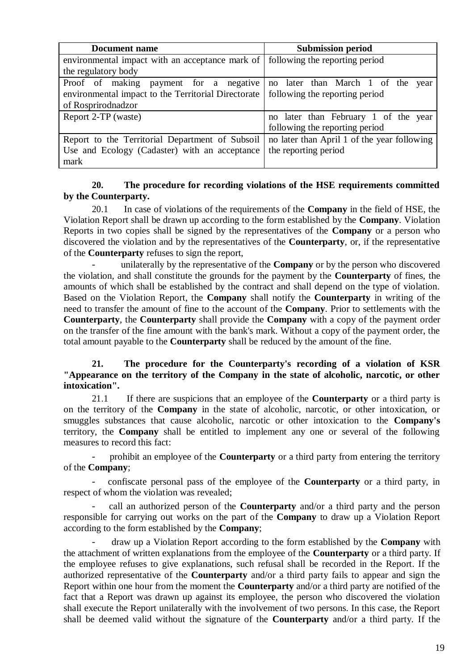| Document name                                                                    | <b>Submission period</b>                    |  |  |  |
|----------------------------------------------------------------------------------|---------------------------------------------|--|--|--|
| environmental impact with an acceptance mark of   following the reporting period |                                             |  |  |  |
| the regulatory body                                                              |                                             |  |  |  |
| Proof of making payment for a negative                                           | no later than March 1 of the<br>year        |  |  |  |
| environmental impact to the Territorial Directorate                              | following the reporting period              |  |  |  |
| of Rosprirodnadzor                                                               |                                             |  |  |  |
| Report 2-TP (waste)                                                              | no later than February 1 of the year        |  |  |  |
|                                                                                  | following the reporting period              |  |  |  |
| Report to the Territorial Department of Subsoil                                  | no later than April 1 of the year following |  |  |  |
| Use and Ecology (Cadaster) with an acceptance                                    | the reporting period                        |  |  |  |
| mark                                                                             |                                             |  |  |  |

## **20. The procedure for recording violations of the HSE requirements committed by the Counterparty.**

20.1 In case of violations of the requirements of the **Company** in the field of HSE, the Violation Report shall be drawn up according to the form established by the **Company**. Violation Reports in two copies shall be signed by the representatives of the **Company** or a person who discovered the violation and by the representatives of the **Counterparty**, or, if the representative of the **Counterparty** refuses to sign the report,

- unilaterally by the representative of the **Company** or by the person who discovered the violation, and shall constitute the grounds for the payment by the **Counterparty** of fines, the amounts of which shall be established by the contract and shall depend on the type of violation. Based on the Violation Report, the **Company** shall notify the **Counterparty** in writing of the need to transfer the amount of fine to the account of the **Company**. Prior to settlements with the **Counterparty**, the **Counterparty** shall provide the **Company** with a copy of the payment order on the transfer of the fine amount with the bank's mark. Without a copy of the payment order, the total amount payable to the **Counterparty** shall be reduced by the amount of the fine.

## **21. The procedure for the Counterparty's recording of a violation of KSR "Appearance on the territory of the Company in the state of alcoholic, narcotic, or other intoxication".**

<span id="page-18-0"></span>21.1 If there are suspicions that an employee of the **Counterparty** or a third party is on the territory of the **Company** in the state of alcoholic, narcotic, or other intoxication, or smuggles substances that cause alcoholic, narcotic or other intoxication to the **Company's** territory, the **Company** shall be entitled to implement any one or several of the following measures to record this fact:

prohibit an employee of the **Counterparty** or a third party from entering the territory of the **Company**;

- confiscate personal pass of the employee of the **Counterparty** or a third party, in respect of whom the violation was revealed;

- call an authorized person of the **Counterparty** and/or a third party and the person responsible for carrying out works on the part of the **Company** to draw up a Violation Report according to the form established by the **Company**;

- draw up a Violation Report according to the form established by the **Company** with the attachment of written explanations from the employee of the **Counterparty** or a third party. If the employee refuses to give explanations, such refusal shall be recorded in the Report. If the authorized representative of the **Counterparty** and/or a third party fails to appear and sign the Report within one hour from the moment the **Counterparty** and/or a third party are notified of the fact that a Report was drawn up against its employee, the person who discovered the violation shall execute the Report unilaterally with the involvement of two persons. In this case, the Report shall be deemed valid without the signature of the **Counterparty** and/or a third party. If the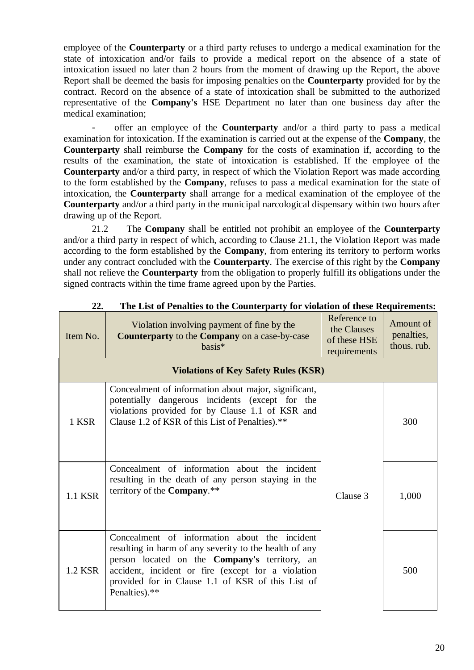employee of the **Counterparty** or a third party refuses to undergo a medical examination for the state of intoxication and/or fails to provide a medical report on the absence of a state of intoxication issued no later than 2 hours from the moment of drawing up the Report, the above Report shall be deemed the basis for imposing penalties on the **Counterparty** provided for by the contract. Record on the absence of a state of intoxication shall be submitted to the authorized representative of the **Company's** HSE Department no later than one business day after the medical examination;

- offer an employee of the **Counterparty** and/or a third party to pass a medical examination for intoxication. If the examination is carried out at the expense of the **Company**, the **Counterparty** shall reimburse the **Company** for the costs of examination if, according to the results of the examination, the state of intoxication is established. If the employee of the **Counterparty** and/or a third party, in respect of which the Violation Report was made according to the form established by the **Company**, refuses to pass a medical examination for the state of intoxication, the **Counterparty** shall arrange for a medical examination of the employee of the **Counterparty** and/or a third party in the municipal narcological dispensary within two hours after drawing up of the Report.

21.2 The **Company** shall be entitled not prohibit an employee of the **Counterparty**  and/or a third party in respect of which, according to Clause [21.1,](#page-18-0) the Violation Report was made according to the form established by the **Company**, from entering its territory to perform works under any contract concluded with the **Counterparty**. The exercise of this right by the **Company**  shall not relieve the **Counterparty** from the obligation to properly fulfill its obligations under the signed contracts within the time frame agreed upon by the Parties.

| Item No. | Violation involving payment of fine by the<br>Counterparty to the Company on a case-by-case<br>basis*                                                                                                                                                                                       | Reference to<br>the Clauses<br>of these HSE<br>requirements | Amount of<br>penalties,<br>thous, rub. |
|----------|---------------------------------------------------------------------------------------------------------------------------------------------------------------------------------------------------------------------------------------------------------------------------------------------|-------------------------------------------------------------|----------------------------------------|
|          | <b>Violations of Key Safety Rules (KSR)</b>                                                                                                                                                                                                                                                 |                                                             |                                        |
| 1 KSR    | Concealment of information about major, significant,<br>potentially dangerous incidents (except for the<br>violations provided for by Clause 1.1 of KSR and<br>Clause 1.2 of KSR of this List of Penalties).**                                                                              |                                                             | 300                                    |
| 1.1 KSR  | Concealment of information about the incident<br>resulting in the death of any person staying in the<br>territory of the <b>Company.</b> **                                                                                                                                                 | Clause 3                                                    | 1,000                                  |
| 1.2 KSR  | Concealment of information about the incident<br>resulting in harm of any severity to the health of any<br>person located on the <b>Company's</b> territory, an<br>accident, incident or fire (except for a violation<br>provided for in Clause 1.1 of KSR of this List of<br>Penalties).** |                                                             | 500                                    |

## **22. The List of Penalties to the Counterparty for violation of these Requirements:**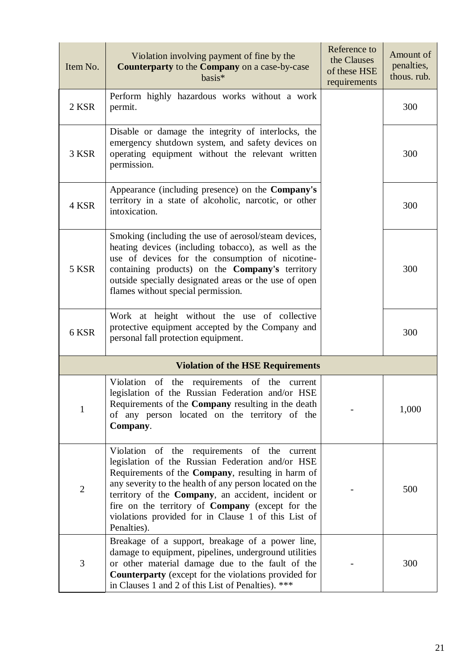| Item No.       | Violation involving payment of fine by the<br>Counterparty to the Company on a case-by-case<br>basis*                                                                                                                                                                                                                                                                                                   | Reference to<br>the Clauses<br>of these HSE<br>requirements | Amount of<br>penalties,<br>thous. rub. |
|----------------|---------------------------------------------------------------------------------------------------------------------------------------------------------------------------------------------------------------------------------------------------------------------------------------------------------------------------------------------------------------------------------------------------------|-------------------------------------------------------------|----------------------------------------|
| 2 KSR          | Perform highly hazardous works without a work<br>permit.                                                                                                                                                                                                                                                                                                                                                |                                                             | 300                                    |
| 3 KSR          | Disable or damage the integrity of interlocks, the<br>emergency shutdown system, and safety devices on<br>operating equipment without the relevant written<br>permission.                                                                                                                                                                                                                               |                                                             | 300                                    |
| 4 KSR          | Appearance (including presence) on the Company's<br>territory in a state of alcoholic, narcotic, or other<br>intoxication.                                                                                                                                                                                                                                                                              |                                                             | 300                                    |
| 5 KSR          | Smoking (including the use of aerosol/steam devices,<br>heating devices (including tobacco), as well as the<br>use of devices for the consumption of nicotine-<br>containing products) on the Company's territory<br>outside specially designated areas or the use of open<br>flames without special permission.                                                                                        |                                                             | 300                                    |
| 6 KSR          | Work at height without the use of collective<br>protective equipment accepted by the Company and<br>personal fall protection equipment.                                                                                                                                                                                                                                                                 |                                                             | 300                                    |
|                | <b>Violation of the HSE Requirements</b>                                                                                                                                                                                                                                                                                                                                                                |                                                             |                                        |
| 1              | the requirements of the<br>Violation<br>of<br>current<br>legislation of the Russian Federation and/or HSE<br>Requirements of the Company resulting in the death<br>of any person located on the territory of the<br>Company.                                                                                                                                                                            |                                                             | 1,000                                  |
| $\overline{2}$ | Violation of the requirements of the current<br>legislation of the Russian Federation and/or HSE<br>Requirements of the Company, resulting in harm of<br>any severity to the health of any person located on the<br>territory of the Company, an accident, incident or<br>fire on the territory of <b>Company</b> (except for the<br>violations provided for in Clause 1 of this List of<br>Penalties). |                                                             | 500                                    |
| 3              | Breakage of a support, breakage of a power line,<br>damage to equipment, pipelines, underground utilities<br>or other material damage due to the fault of the<br><b>Counterparty</b> (except for the violations provided for<br>in Clauses 1 and 2 of this List of Penalties). ***                                                                                                                      |                                                             | 300                                    |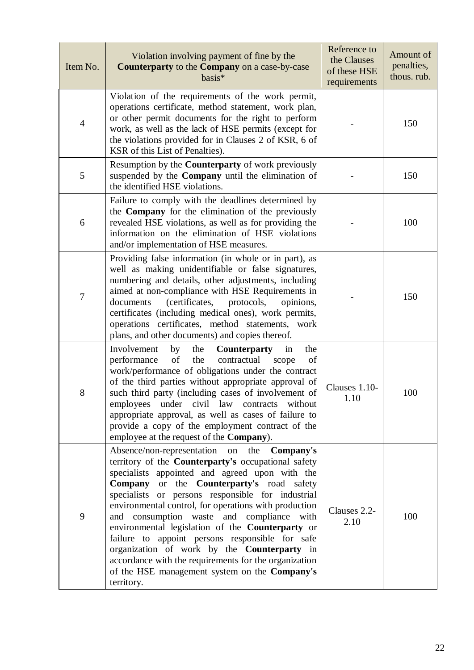| Item No.       | Violation involving payment of fine by the<br>Counterparty to the Company on a case-by-case<br>basis*                                                                                                                                                                                                                                                                                                                                                                                                                                                                                                                                            | Reference to<br>the Clauses<br>of these HSE<br>requirements | Amount of<br>penalties,<br>thous. rub. |
|----------------|--------------------------------------------------------------------------------------------------------------------------------------------------------------------------------------------------------------------------------------------------------------------------------------------------------------------------------------------------------------------------------------------------------------------------------------------------------------------------------------------------------------------------------------------------------------------------------------------------------------------------------------------------|-------------------------------------------------------------|----------------------------------------|
| $\overline{4}$ | Violation of the requirements of the work permit,<br>operations certificate, method statement, work plan,<br>or other permit documents for the right to perform<br>work, as well as the lack of HSE permits (except for<br>the violations provided for in Clauses 2 of KSR, 6 of<br>KSR of this List of Penalties).                                                                                                                                                                                                                                                                                                                              |                                                             | 150                                    |
| 5              | Resumption by the <b>Counterparty</b> of work previously<br>suspended by the <b>Company</b> until the elimination of<br>the identified HSE violations.                                                                                                                                                                                                                                                                                                                                                                                                                                                                                           |                                                             | 150                                    |
| 6              | Failure to comply with the deadlines determined by<br>the <b>Company</b> for the elimination of the previously<br>revealed HSE violations, as well as for providing the<br>information on the elimination of HSE violations<br>and/or implementation of HSE measures.                                                                                                                                                                                                                                                                                                                                                                            |                                                             | 100                                    |
| $\overline{7}$ | Providing false information (in whole or in part), as<br>well as making unidentifiable or false signatures,<br>numbering and details, other adjustments, including<br>aimed at non-compliance with HSE Requirements in<br>(certificates,<br>documents<br>protocols,<br>opinions,<br>certificates (including medical ones), work permits,<br>operations certificates, method statements, work<br>plans, and other documents) and copies thereof.                                                                                                                                                                                                  |                                                             | 150                                    |
| 8              | Involvement<br>the<br>by<br>the<br><b>Counterparty</b><br>in<br>of<br>the<br>performance<br>contractual<br>of<br>scope<br>work/performance of obligations under the contract<br>of the third parties without appropriate approval of<br>such third party (including cases of involvement of<br>employees under civil law contracts without<br>appropriate approval, as well as cases of failure to<br>provide a copy of the employment contract of the<br>employee at the request of the Company).                                                                                                                                               | Clauses 1.10-<br>1.10                                       | 100                                    |
| 9              | Absence/non-representation on the<br>Company's<br>territory of the Counterparty's occupational safety<br>specialists appointed and agreed upon with the<br>Company or the Counterparty's road safety<br>specialists or persons responsible for industrial<br>environmental control, for operations with production<br>consumption waste and compliance with<br>and<br>environmental legislation of the Counterparty or<br>failure to appoint persons responsible for safe<br>organization of work by the Counterparty in<br>accordance with the requirements for the organization<br>of the HSE management system on the Company's<br>territory. | Clauses 2.2-<br>2.10                                        | 100                                    |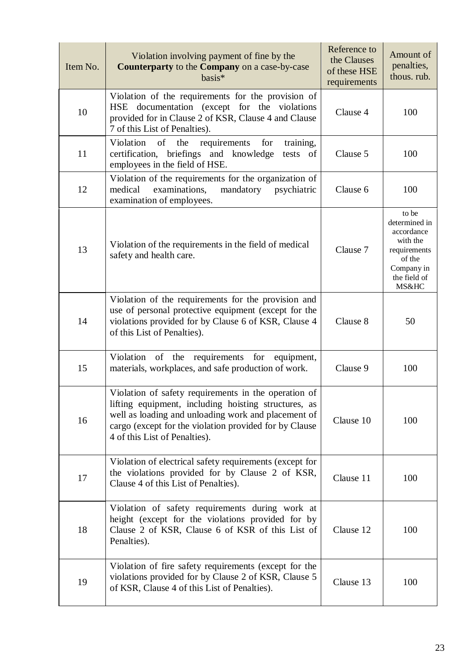| Item No. | Violation involving payment of fine by the<br>Counterparty to the Company on a case-by-case<br>basis*                                                                                                                                                          | Reference to<br>the Clauses<br>of these HSE<br>requirements | Amount of<br>penalties,<br>thous. rub.                                                                            |
|----------|----------------------------------------------------------------------------------------------------------------------------------------------------------------------------------------------------------------------------------------------------------------|-------------------------------------------------------------|-------------------------------------------------------------------------------------------------------------------|
| 10       | Violation of the requirements for the provision of<br>HSE documentation (except for the violations<br>provided for in Clause 2 of KSR, Clause 4 and Clause<br>7 of this List of Penalties).                                                                    | Clause 4                                                    | 100                                                                                                               |
| 11       | training,<br>Violation<br>the<br>requirements<br>for<br>of<br>certification, briefings and knowledge<br>tests of<br>employees in the field of HSE.                                                                                                             | Clause 5                                                    | 100                                                                                                               |
| 12       | Violation of the requirements for the organization of<br>examinations,<br>medical<br>mandatory<br>psychiatric<br>examination of employees.                                                                                                                     | Clause 6                                                    | 100                                                                                                               |
| 13       | Violation of the requirements in the field of medical<br>safety and health care.                                                                                                                                                                               | Clause 7                                                    | to be<br>determined in<br>accordance<br>with the<br>requirements<br>of the<br>Company in<br>the field of<br>MS&HC |
| 14       | Violation of the requirements for the provision and<br>use of personal protective equipment (except for the<br>violations provided for by Clause 6 of KSR, Clause 4<br>of this List of Penalties).                                                             | Clause 8                                                    | 50                                                                                                                |
| 15       | of the<br>requirements for<br>Violation<br>equipment,<br>materials, workplaces, and safe production of work.                                                                                                                                                   | Clause 9                                                    | 100                                                                                                               |
| 16       | Violation of safety requirements in the operation of<br>lifting equipment, including hoisting structures, as<br>well as loading and unloading work and placement of<br>cargo (except for the violation provided for by Clause<br>4 of this List of Penalties). | Clause 10                                                   | 100                                                                                                               |
| 17       | Violation of electrical safety requirements (except for<br>the violations provided for by Clause 2 of KSR,<br>Clause 4 of this List of Penalties).                                                                                                             | Clause 11                                                   | 100                                                                                                               |
| 18       | Violation of safety requirements during work at<br>height (except for the violations provided for by<br>Clause 2 of KSR, Clause 6 of KSR of this List of<br>Penalties).                                                                                        | Clause 12                                                   | 100                                                                                                               |
| 19       | Violation of fire safety requirements (except for the<br>violations provided for by Clause 2 of KSR, Clause 5<br>of KSR, Clause 4 of this List of Penalties).                                                                                                  | Clause 13                                                   | 100                                                                                                               |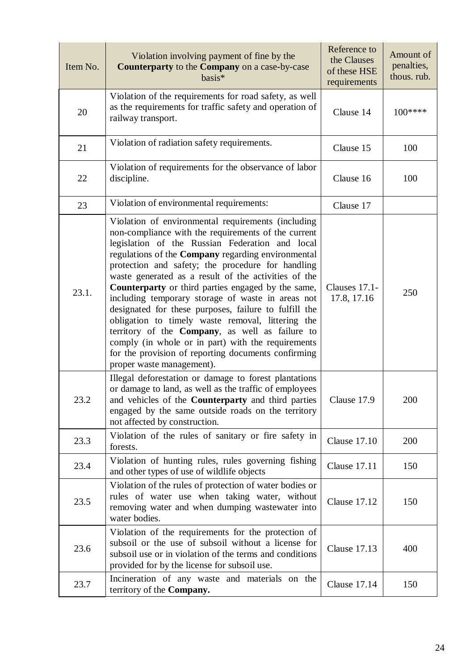| Item No. | Violation involving payment of fine by the<br>Counterparty to the Company on a case-by-case<br>basis*                                                                                                                                                                                                                                                                                                                                                                                                                                                                                                                                                                                                                                                 | Reference to<br>the Clauses<br>of these HSE<br>requirements | Amount of<br>penalties,<br>thous. rub. |
|----------|-------------------------------------------------------------------------------------------------------------------------------------------------------------------------------------------------------------------------------------------------------------------------------------------------------------------------------------------------------------------------------------------------------------------------------------------------------------------------------------------------------------------------------------------------------------------------------------------------------------------------------------------------------------------------------------------------------------------------------------------------------|-------------------------------------------------------------|----------------------------------------|
| 20       | Violation of the requirements for road safety, as well<br>as the requirements for traffic safety and operation of<br>railway transport.                                                                                                                                                                                                                                                                                                                                                                                                                                                                                                                                                                                                               | Clause 14                                                   | $100***$                               |
| 21       | Violation of radiation safety requirements.                                                                                                                                                                                                                                                                                                                                                                                                                                                                                                                                                                                                                                                                                                           | Clause 15                                                   | 100                                    |
| 22       | Violation of requirements for the observance of labor<br>discipline.                                                                                                                                                                                                                                                                                                                                                                                                                                                                                                                                                                                                                                                                                  | Clause 16                                                   | 100                                    |
| 23       | Violation of environmental requirements:                                                                                                                                                                                                                                                                                                                                                                                                                                                                                                                                                                                                                                                                                                              | Clause 17                                                   |                                        |
| 23.1.    | Violation of environmental requirements (including<br>non-compliance with the requirements of the current<br>legislation of the Russian Federation and local<br>regulations of the Company regarding environmental<br>protection and safety; the procedure for handling<br>waste generated as a result of the activities of the<br>Counterparty or third parties engaged by the same,<br>including temporary storage of waste in areas not<br>designated for these purposes, failure to fulfill the<br>obligation to timely waste removal, littering the<br>territory of the Company, as well as failure to<br>comply (in whole or in part) with the requirements<br>for the provision of reporting documents confirming<br>proper waste management). | Clauses 17.1-<br>17.8, 17.16                                | 250                                    |
| 23.2     | Illegal deforestation or damage to forest plantations<br>or damage to land, as well as the traffic of employees<br>and vehicles of the Counterparty and third parties<br>engaged by the same outside roads on the territory<br>not affected by construction.                                                                                                                                                                                                                                                                                                                                                                                                                                                                                          | Clause 17.9                                                 | 200                                    |
| 23.3     | Violation of the rules of sanitary or fire safety in<br>forests.                                                                                                                                                                                                                                                                                                                                                                                                                                                                                                                                                                                                                                                                                      | <b>Clause 17.10</b>                                         | 200                                    |
| 23.4     | Violation of hunting rules, rules governing fishing<br>and other types of use of wildlife objects                                                                                                                                                                                                                                                                                                                                                                                                                                                                                                                                                                                                                                                     | <b>Clause 17.11</b>                                         | 150                                    |
| 23.5     | Violation of the rules of protection of water bodies or<br>rules of water use when taking water, without<br>removing water and when dumping wastewater into<br>water bodies.                                                                                                                                                                                                                                                                                                                                                                                                                                                                                                                                                                          | <b>Clause 17.12</b>                                         | 150                                    |
| 23.6     | Violation of the requirements for the protection of<br>subsoil or the use of subsoil without a license for<br>subsoil use or in violation of the terms and conditions<br>provided for by the license for subsoil use.                                                                                                                                                                                                                                                                                                                                                                                                                                                                                                                                 | <b>Clause 17.13</b>                                         | 400                                    |
| 23.7     | Incineration of any waste and materials on the<br>territory of the Company.                                                                                                                                                                                                                                                                                                                                                                                                                                                                                                                                                                                                                                                                           | Clause 17.14                                                | 150                                    |